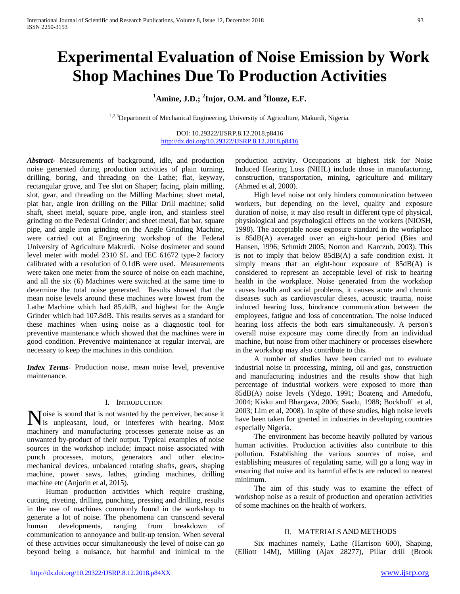# **Experimental Evaluation of Noise Emission by Work Shop Machines Due To Production Activities**

## **1 Amine, J.D.; <sup>2</sup> Injor, O.M. and 3 Ilonze, E.F.**

<sup>1,2,3</sup>Department of Mechanical Engineering, University of Agriculture, Makurdi, Nigeria.

DOI: 10.29322/IJSRP.8.12.2018.p8416 <http://dx.doi.org/10.29322/IJSRP.8.12.2018.p8416>

*Abstract***-** Measurements of background, idle, and production noise generated during production activities of plain turning, drilling, boring, and threading on the Lathe; flat, keyway, rectangular grove, and Tee slot on Shaper; facing, plain milling, slot, gear, and threading on the Milling Machine; sheet metal, plat bar, angle iron drilling on the Pillar Drill machine; solid shaft, sheet metal, square pipe, angle iron, and stainless steel grinding on the Pedestal Grinder; and sheet metal, flat bar, square pipe, and angle iron grinding on the Angle Grinding Machine, were carried out at Engineering workshop of the Federal University of Agriculture Makurdi. Noise dosimeter and sound level meter with model 2310 SL and IEC 61672 type-2 factory calibrated with a resolution of 0.1dB were used. Measurements were taken one meter from the source of noise on each machine, and all the six (6) Machines were switched at the same time to determine the total noise generated. Results showed that the mean noise levels around these machines were lowest from the Lathe Machine which had 85.4dB, and highest for the Angle Grinder which had 107.8dB. This results serves as a standard for these machines when using noise as a diagnostic tool for preventive maintenance which showed that the machines were in good condition. Preventive maintenance at regular interval, are necessary to keep the machines in this condition.

*Index Terms*- Production noise, mean noise level, preventive maintenance.

#### I. INTRODUCTION

oise is sound that is not wanted by the perceiver, because it Noise is sound that is not wanted by the perceiver, because it is unpleasant, loud, or interferes with hearing. Most machinery and manufacturing processes generate noise as an unwanted by-product of their output. Typical examples of noise sources in the workshop include; impact noise associated with punch processes, motors, generators and other electromechanical devices, unbalanced rotating shafts, gears, shaping machine, power saws, lathes, grinding machines, drilling machine etc (Anjorin et al, 2015).

 Human production activities which require crushing, cutting, riveting, drilling, punching, pressing and drilling, results in the use of machines commonly found in the workshop to generate a lot of noise. The phenomena can transcend several human developments, ranging from breakdown of communication to annoyance and built-up tension. When several of these activities occur simultaneously the level of noise can go beyond being a nuisance, but harmful and inimical to the

production activity. Occupations at highest risk for Noise Induced Hearing Loss (NIHL) include those in manufacturing, construction, transportation, mining, agriculture and military (Ahmed et al, 2000).

 High level noise not only hinders communication between workers, but depending on the level, quality and exposure duration of noise, it may also result in different type of physical, physiological and psychological effects on the workers (NIOSH, 1998). The acceptable noise exposure standard in the workplace is 85dB(A) averaged over an eight-hour period (Bies and Hansen, 1996; Schmidt 2005; Norton and Karczub, 2003). This is not to imply that below 85dB(A) a safe condition exist. It simply means that an eight-hour exposure of 85dB(A) is considered to represent an acceptable level of risk to hearing health in the workplace. Noise generated from the workshop causes health and social problems, it causes acute and chronic diseases such as cardiovascular dieses, acoustic trauma, noise induced hearing loss, hindrance communication between the employees, fatigue and loss of concentration. The noise induced hearing loss affects the both ears simultaneously. A person's overall noise exposure may come directly from an individual machine, but noise from other machinery or processes elsewhere in the workshop may also contribute to this.

 A number of studies have been carried out to evaluate industrial noise in processing, mining, oil and gas, construction and manufacturing industries and the results show that high percentage of industrial workers were exposed to more than 85dB(A) noise levels (Ydego, 1991; Boateng and Amedofu, 2004; Kisku and Bhargava, 2006; Saadu, 1988; Bockhoff et al, 2003; Lim et al, 2008). In spite of these studies, high noise levels have been taken for granted in industries in developing countries especially Nigeria.

 The environment has become heavily polluted by various human activities. Production activities also contribute to this pollution. Establishing the various sources of noise, and establishing measures of regulating same, will go a long way in ensuring that noise and its harmful effects are reduced to nearest minimum.

 The aim of this study was to examine the effect of workshop noise as a result of production and operation activities of some machines on the health of workers.

## II. MATERIALS AND METHODS

 Six machines namely, Lathe (Harrison 600), Shaping, (Elliott 14M), Milling (Ajax 28277), Pillar drill (Brook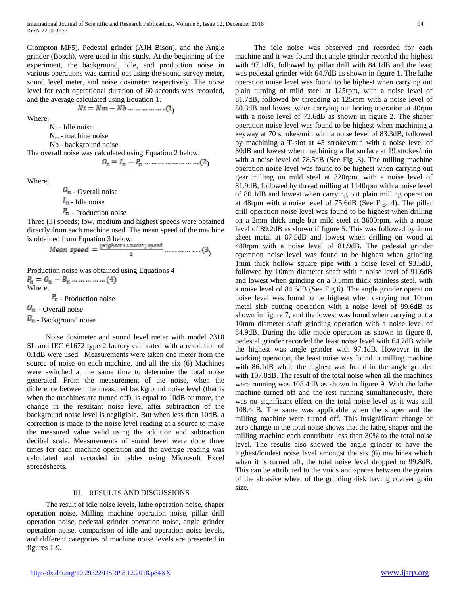Crompton MF5), Pedestal grinder (AJH Bison), and the Angle grinder (Bosch), were used in this study. At the beginning of the experiment, the background, idle, and production noise in various operations was carried out using the sound survey meter, sound level meter, and noise dosimeter respectively. The noise level for each operational duration of 60 seconds was recorded, and the average calculated using Equation 1.

$$
Ni = Nm - Nb \dots \dots \dots \dots \dots (1)
$$

Where;

Ni - Idle noise

 $N_m$  - machine noise

Nb - background noise

The overall noise was calculated using Equation 2 below. )

Where;

 $\mathcal{O}_n$  - Overall noise  $I_n$  - Idle noise  $P_m$  - Production noise

Three (3) speeds; low, medium and highest speeds were obtained directly from each machine used. The mean speed of the machine is obtained from Equation 3 below.

$$
\textit{Mean speed} = \frac{(\textit{Higher} + \textit{lowest}) \textit{ speed}}{2} \text{ ...} \text{ ...} \text{ ...} \text{ ...} (3)
$$

Production noise was obtained using Equations 4  $P_n = Q_n - B_n - \dots - (4)$ Where;

 $\overline{P}_m$  - Production noise

 $\mathbf{O}_n$  - Overall noise

 $\mathbf{B}_n$  - Background noise

 Noise dosimeter and sound level meter with model 2310 SL and IEC 61672 type-2 factory calibrated with a resolution of 0.1dB were used. Measurements were taken one meter from the source of noise on each machine, and all the six (6) Machines were switched at the same time to determine the total noise generated. From the measurement of the noise, when the difference between the measured background noise level (that is when the machines are turned off), is equal to 10dB or more, the change in the resultant noise level after subtraction of the background noise level is negligible. But when less than 10dB, a correction is made to the noise level reading at a source to make the measured value valid using the addition and subtraction decibel scale. Measurements of sound level were done three times for each machine operation and the average reading was calculated and recorded in tables using Microsoft Excel spreadsheets.

#### III. RESULTS AND DISCUSSIONS

 The result of idle noise levels, lathe operation noise, shaper operation noise, Milling machine operation noise, pillar drill operation noise, pedestal grinder operation noise, angle grinder operation noise, comparison of idle and operation noise levels, and different categories of machine noise levels are presented in figures 1-9.

 The idle noise was observed and recorded for each machine and it was found that angle grinder recorded the highest with 97.1dB, followed by pillar drill with 84.1dB and the least was pedestal grinder with 64.7dB as shown in figure 1. The lathe operation noise level was found to be highest when carrying out plain turning of mild steel at 125rpm, with a noise level of 81.7dB, followed by threading at 125rpm with a noise level of 80.3dB and lowest when carrying out boring operation at 40rpm with a noise level of 73.6dB as shown in figure 2. The shaper operation noise level was found to be highest when machining a keyway at 70 strokes/min with a noise level of 83.3dB, followed by machining a T-slot at 45 strokes/min with a noise level of 80dB and lowest when machining a flat surface at 19 strokes/min with a noise level of 78.5dB (See Fig .3). The milling machine operation noise level was found to be highest when carrying out gear milling on mild steel at 320rpm, with a noise level of 81.9dB, followed by thread milling at 1140rpm with a noise level of 80.1dB and lowest when carrying out plain milling operation at 48rpm with a noise level of 75.6dB (See Fig. 4). The pillar drill operation noise level was found to be highest when drilling on a 2mm thick angle bar mild steel at 3600rpm, with a noise level of 89.2dB as shown if figure 5. This was followed by 2mm sheet metal at 87.5dB and lowest when drilling on wood at 480rpm with a noise level of 81.9dB. The pedestal grinder operation noise level was found to be highest when grinding 1mm thick hollow square pipe with a noise level of 93.5dB, followed by 10mm diameter shaft with a noise level of 91.6dB and lowest when grinding on a 0.5mm thick stainless steel, with a noise level of 84.6dB (See Fig.6). The angle grinder operation noise level was found to be highest when carrying out 10mm metal slab cutting operation with a noise level of 99.6dB as shown in figure 7, and the lowest was found when carrying out a 10mm diameter shaft grinding operation with a noise level of 84.9dB. During the idle mode operation as shown in figure 8, pedestal grinder recorded the least noise level with 64.7dB while the highest was angle grinder with 97.1dB. However in the working operation, the least noise was found in milling machine with 86.1dB while the highest was found in the angle grinder with 107.8dB. The result of the total noise when all the machines were running was 108.4dB as shown in figure 9. With the lathe machine turned off and the rest running simultaneously, there was no significant effect on the total noise level as it was still 108.4dB. The same was applicable when the shaper and the milling machine were turned off. This insignificant change or zero change in the total noise shows that the lathe, shaper and the milling machine each contribute less than 30% to the total noise level. The results also showed the angle grinder to have the highest/loudest noise level amongst the six (6) machines which when it is turned off, the total noise level dropped to 99.8dB. This can be attributed to the voids and spaces between the grains of the abrasive wheel of the grinding disk having coarser grain size.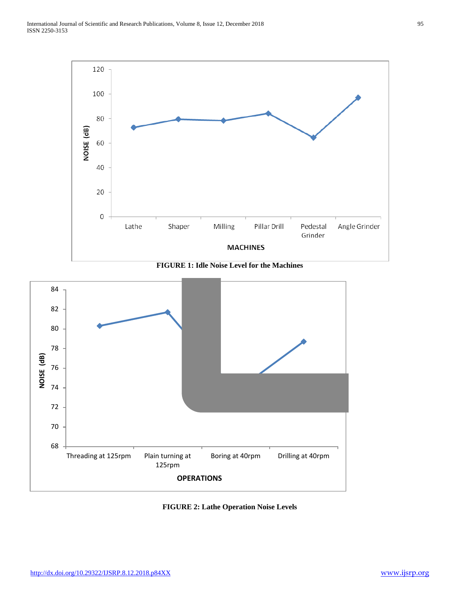

**FIGURE 1: Idle Noise Level for the Machines**



**FIGURE 2: Lathe Operation Noise Levels**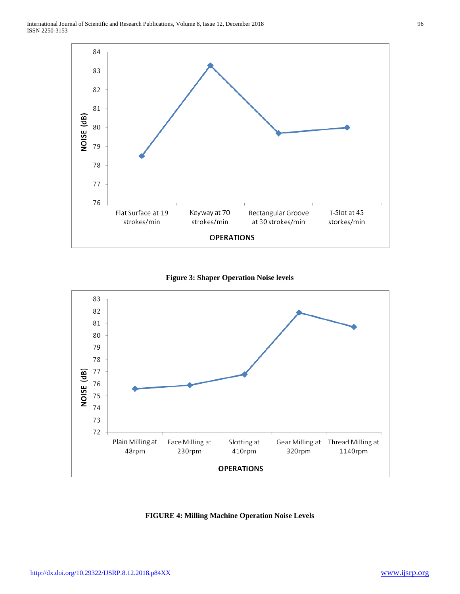





**FIGURE 4: Milling Machine Operation Noise Levels**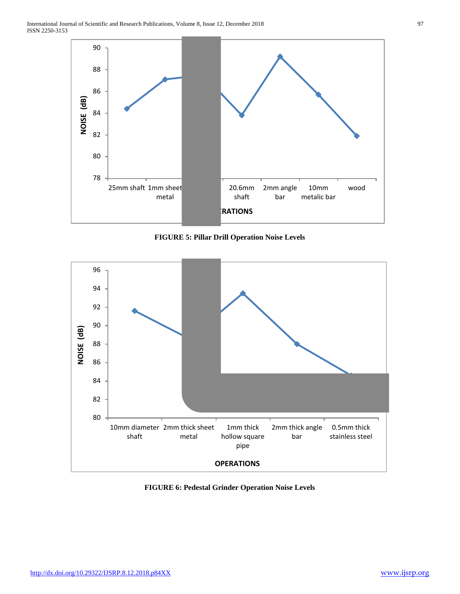

**FIGURE 5: Pillar Drill Operation Noise Levels**



**FIGURE 6: Pedestal Grinder Operation Noise Levels**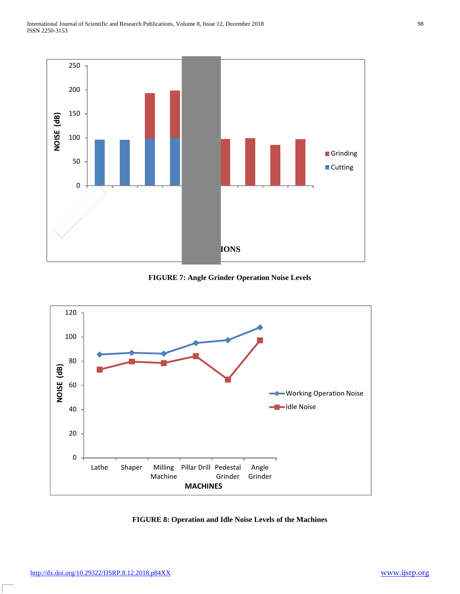

**FIGURE 7: Angle Grinder Operation Noise Levels**



**FIGURE 8: Operation and Idle Noise Levels of the Machines**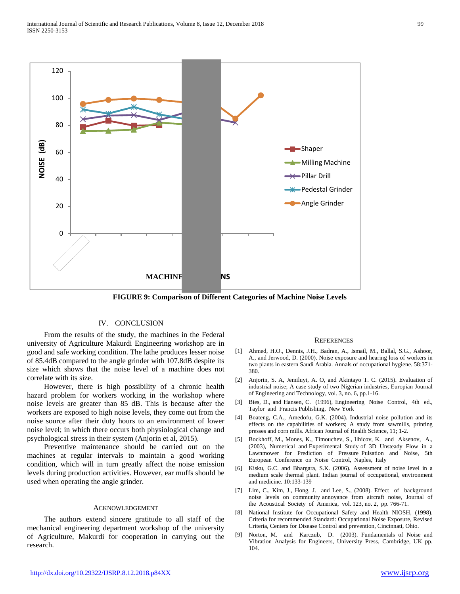

**FIGURE 9: Comparison of Different Categories of Machine Noise Levels**

### IV. CONCLUSION

 From the results of the study, the machines in the Federal university of Agriculture Makurdi Engineering workshop are in good and safe working condition. The lathe produces lesser noise of 85.4dB compared to the angle grinder with 107.8dB despite its size which shows that the noise level of a machine does not correlate with its size.

 However, there is high possibility of a chronic health hazard problem for workers working in the workshop where noise levels are greater than 85 dB. This is because after the workers are exposed to high noise levels, they come out from the noise source after their duty hours to an environment of lower noise level; in which there occurs both physiological change and psychological stress in their system (Anjorin et al, 2015).

 Preventive maintenance should be carried out on the machines at regular intervals to maintain a good working condition, which will in turn greatly affect the noise emission levels during production activities. However, ear muffs should be used when operating the angle grinder.

#### ACKNOWLEDGEMENT

 The authors extend sincere gratitude to all staff of the mechanical engineering department workshop of the university of Agriculture, Makurdi for cooperation in carrying out the research.

#### **REFERENCES**

- [1] Ahmed, H.O., Dennis, J.H., Badran, A., Ismail, M., Ballal, S.G., Ashoor, A., and Jerwood, D. (2000). Noise exposure and hearing loss of workers in two plants in eastern Saudi Arabia. Annals of occupational hygiene. 58:371- 380.
- [2] Anjorin, S. A, Jemiluyi, A. O, and Akintayo T. C. (2015). Evaluation of industrial noise; A case study of two Nigerian industries, Europian Journal of Engineering and Technology, vol. 3, no. 6, pp.1-16.
- [3] Bies, D., and Hansen, C. (1996), Engineering Noise Control, 4th ed., Taylor and Francis Publishing, New York
- [4] Boateng, C.A., Amedofu, G.K. (2004). Industrial noise pollution and its effects on the capabilities of workers; A study from sawmills, printing presses and corn mills. African Journal of Health Science, 11; 1-2.
- [5] Bockhoff, M., Mones, K., Timouchev, S., Ilhicov, K. and Aksenov, A., (2003), Numerical and Experimental Study of 3D Unsteady Flow in a Lawnmower for Prediction of Pressure Pulsation and Noise, 5th European Conference on Noise Control, Naples, Italy
- [6] Kisku, G.C. and Bhargara, S.K. (2006). Assessment of noise level in a medium scale thermal plant. Indian journal of occupational, environment and medicine. 10:133-139
- [7] Lim, C., Kim, J., Hong, J. and Lee, S., (2008). Effect of background noise levels on community annoyance from aircraft noise, Journal of the Acoustical Society of America, vol. 123, no. 2, pp. 766-71.
- [8] National Institute for Occupational Safety and Health NIOSH, (1998). Criteria for recommended Standard: Occupational Noise Exposure, Revised Criteria, Centers for Disease Control and prevention, Cincinnati, Ohio.
- [9] Norton, M. and Karczub, D. (2003). Fundamentals of Noise and Vibration Analysis for Engineers, University Press, Cambridge, UK pp. 104.